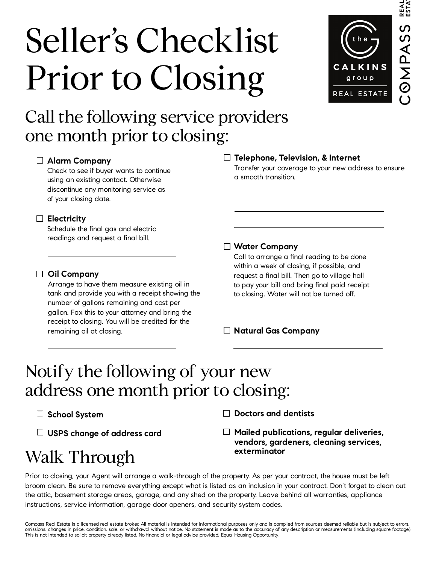# Seller's Checklist Prior to Closing



## Call the following service providers one month prior to closing:

## **Alarm Company**

Check to see if buyer wants to continue using an existing contact. Otherwise discontinue any monitoring service as of your closing date.

## **Electricity**

Schedule the final gas and electric readings and request a final bill.

## **Oil Company**

Arrange to have them measure existing oil in tank and provide you with a receipt showing the number of gallons remaining and cost per gallon. Fax this to your attorney and bring the receipt to closing. You will be credited for the remaining oil at closing.

## **Telephone, Television, & Internet**

Transfer your coverage to your new address to ensure a smooth transition.

## **Water Company**

Call to arrange a final reading to be done within a week of closing, if possible, and request a final bill. Then go to village hall to pay your bill and bring final paid receipt to closing. Water will not be turned off.

**Natural Gas Company**

## Notify the following of your new address one month prior to closing:

**School System**

**USPS change of address card**

**Doctors and dentists**

**Mailed publications, regular deliveries, vendors, gardeners, cleaning services, exterminator**

Walk Through

Prior to closing, your Agent will arrange a walk-through of the property. As per your contract, the house must be left broom clean. Be sure to remove everything except what is listed as an inclusion in your contract. Don't forget to clean out the attic, basement storage areas, garage, and any shed on the property. Leave behind all warranties, appliance instructions, service information, garage door openers, and security system codes.

Compass Real Estate is a licensed real estate broker. All material is intended for informational purposes only and is compiled from sources deemed reliable but is subject to errors, omissions, changes in price, condition, sale, or withdrawal without notice. No statement is made as to the accuracy of any description or measurements (including square footage). This is not intended to solicit property already listed. No financial or legal advice provided. Equal Housing Opportunity.